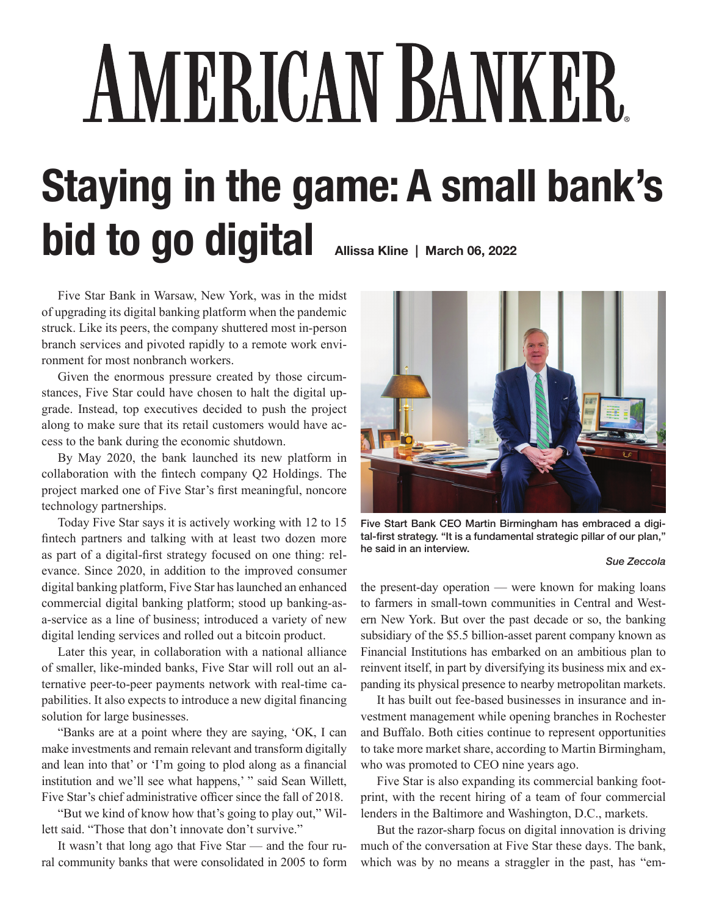## AMERICAN BANKER **Staying in the game: A small bank's bid to go digital Allissa Kline | March 06, 2022**

Five Star Bank in Warsaw, New York, was in the midst of upgrading its digital banking platform when the pandemic struck. Like its peers, the company shuttered most in-person branch services and pivoted rapidly to a remote work environment for most nonbranch workers.

Given the enormous pressure created by those circumstances, Five Star could have chosen to halt the digital upgrade. Instead, top executives decided to push the project along to make sure that its retail customers would have access to the bank during the economic shutdown.

By May 2020, the bank launched its new platform in collaboration with the fintech company Q2 Holdings. The project marked one of Five Star's first meaningful, noncore technology partnerships.

Today Five Star says it is actively working with 12 to 15 fintech partners and talking with at least two dozen more as part of a digital-first strategy focused on one thing: relevance. Since 2020, in addition to the improved consumer digital banking platform, Five Star has launched an enhanced commercial digital banking platform; stood up banking-asa-service as a line of business; introduced a variety of new digital lending services and rolled out a bitcoin product.

Later this year, in collaboration with a national alliance of smaller, like-minded banks, Five Star will roll out an alternative peer-to-peer payments network with real-time capabilities. It also expects to introduce a new digital financing solution for large businesses.

"Banks are at a point where they are saying, 'OK, I can make investments and remain relevant and transform digitally and lean into that' or 'I'm going to plod along as a financial institution and we'll see what happens,' " said Sean Willett, Five Star's chief administrative officer since the fall of 2018.

"But we kind of know how that's going to play out," Willett said. "Those that don't innovate don't survive."

It wasn't that long ago that Five Star — and the four rural community banks that were consolidated in 2005 to form



Five Start Bank CEO Martin Birmingham has embraced a digital-first strategy. "It is a fundamental strategic pillar of our plan," he said in an interview.

## *Sue Zeccola*

the present-day operation — were known for making loans to farmers in small-town communities in Central and Western New York. But over the past decade or so, the banking subsidiary of the \$5.5 billion-asset parent company known as Financial Institutions has embarked on an ambitious plan to reinvent itself, in part by diversifying its business mix and expanding its physical presence to nearby metropolitan markets.

It has built out fee-based businesses in insurance and investment management while opening branches in Rochester and Buffalo. Both cities continue to represent opportunities to take more market share, according to Martin Birmingham, who was promoted to CEO nine years ago.

Five Star is also expanding its commercial banking footprint, with the recent hiring of a team of four commercial lenders in the Baltimore and Washington, D.C., markets.

But the razor-sharp focus on digital innovation is driving much of the conversation at Five Star these days. The bank, which was by no means a straggler in the past, has "em